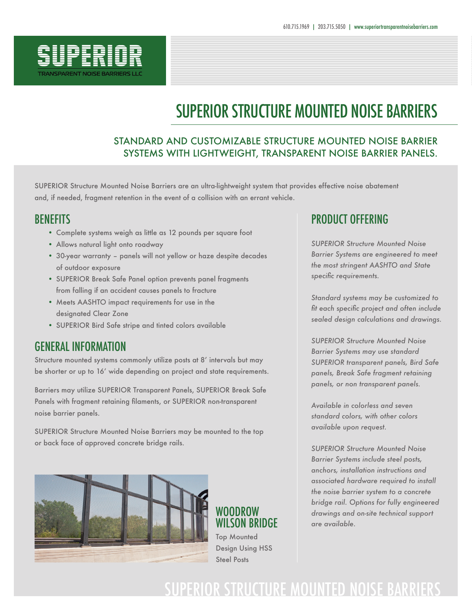

# SUPERIOR STRUCTURE MOUNTED NOISE BARRIERS

#### STANDARD AND CUSTOMIZABLE STRUCTURE MOUNTED NOISE BARRIER SYSTEMS WITH LIGHTWEIGHT, TRANSPARENT NOISE BARRIER PANELS.

SUPERIOR Structure Mounted Noise Barriers are an ultra-lightweight system that provides effective noise abatement and, if needed, fragment retention in the event of a collision with an errant vehicle.

### BENEFITS

- Complete systems weigh as little as 12 pounds per square foot
- Allows natural light onto roadway
- 30-year warranty panels will not yellow or haze despite decades of outdoor exposure
- SUPERIOR Break Safe Panel option prevents panel fragments from falling if an accident causes panels to fracture
- Meets AASHTO impact requirements for use in the designated Clear Zone
- SUPERIOR Bird Safe stripe and tinted colors available

### GENERAL INFORMATION

Structure mounted systems commonly utilize posts at 8' intervals but may be shorter or up to 16' wide depending on project and state requirements.

Barriers may utilize SUPERIOR Transparent Panels, SUPERIOR Break Safe Panels with fragment retaining filaments, or SUPERIOR non-transparent noise barrier panels.

SUPERIOR Structure Mounted Noise Barriers may be mounted to the top or back face of approved concrete bridge rails.



### WOODROW WILSON BRIDGE Top Mounted

Design Using HSS Steel Posts

### PRODUCT OFFERING

*SUPERIOR Structure Mounted Noise Barrier Systems are engineered to meet the most stringent AASHTO and State specific requirements.*

*Standard systems may be customized to fit each specific project and often include sealed design calculations and drawings.* 

*SUPERIOR Structure Mounted Noise Barrier Systems may use standard SUPERIOR transparent panels, Bird Safe panels, Break Safe fragment retaining panels, or non transparent panels.*

*Available in colorless and seven standard colors, with other colors available upon request.*

*SUPERIOR Structure Mounted Noise Barrier Systems include steel posts, anchors, installation instructions and associated hardware required to install the noise barrier system to a concrete bridge rail. Options for fully engineered drawings and on-site technical support are available.*

## SUPERIOR STRUCTURE MOUNTED NOISE BARRIERS